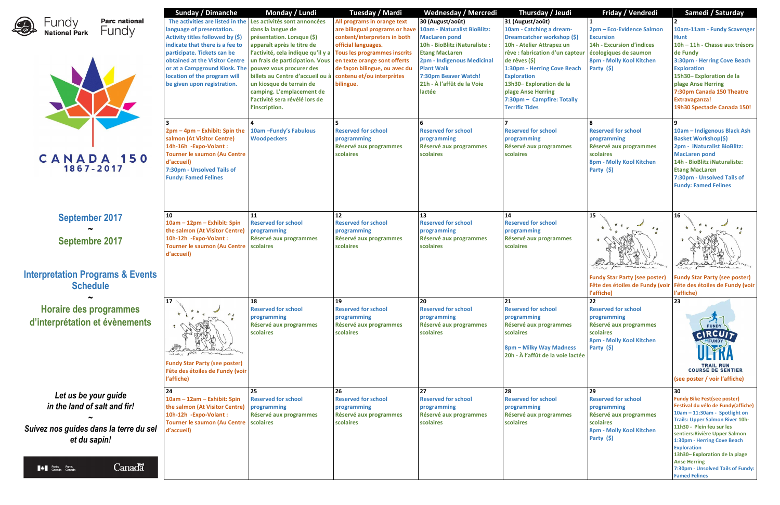

**Parc national** Fundy



**September 2017 ~ Septembre 2017**

# **Interpretation Programs & Events Schedule**

**~**

**Horaire des programmes d'interprétation et évènements**

*Let us be your guide*

Canadä **All Parks Parcs**<br>Canada Canada

*in the land of salt and fir!* **~** *Suivez nos guides dans la terre du sel et du sapin!*

| <b>Sunday / Dimanche</b>                                                                                                                                                                                                                                          | Monday / Lundi                                                                                                                                                                                                                                                                                                                                                                                       | <b>Tuesday / Mardi</b>                                                                                                                                                                                                                                                                         | Wednesday / Mercredi                                                                                                                                                                                                  | Thursday / Jeudi                                                                                                                                                                                                                                                                                                                               | Friday / Vendredi                                                                                                                           | Samedi / Saturday                                                                                                                                                                                                                                                                                                                                           |
|-------------------------------------------------------------------------------------------------------------------------------------------------------------------------------------------------------------------------------------------------------------------|------------------------------------------------------------------------------------------------------------------------------------------------------------------------------------------------------------------------------------------------------------------------------------------------------------------------------------------------------------------------------------------------------|------------------------------------------------------------------------------------------------------------------------------------------------------------------------------------------------------------------------------------------------------------------------------------------------|-----------------------------------------------------------------------------------------------------------------------------------------------------------------------------------------------------------------------|------------------------------------------------------------------------------------------------------------------------------------------------------------------------------------------------------------------------------------------------------------------------------------------------------------------------------------------------|---------------------------------------------------------------------------------------------------------------------------------------------|-------------------------------------------------------------------------------------------------------------------------------------------------------------------------------------------------------------------------------------------------------------------------------------------------------------------------------------------------------------|
| language of presentation.<br>Activity titles followed by (\$)<br>indicate that there is a fee to<br>participate. Tickets can be<br>obtained at the Visitor Centre<br>or at a Campground Kiosk. The<br>location of the program will<br>be given upon registration. | The activities are listed in the Les activités sont annoncées<br>dans la langue de<br>présentation. Lorsque (\$)<br>apparaît après le titre de<br>l'activité, cela indique qu'il y a<br>un frais de participation. Vous<br>pouvez vous procurer des<br>billets au Centre d'accueil ou à<br>un kiosque de terrain de<br>camping. L'emplacement de<br>l'activité sera révélé lors de<br>l'inscription. | All programs in orange text<br>are bilingual programs or have   10am - iNaturalist BioBlitz:<br>content/interpreters in both<br>official languages.<br>Tous les programmes inscrits<br>en texte orange sont offerts<br>de façon bilingue, ou avec du<br>contenu et/ou interprètes<br>bilingue. | 30 (August/août)<br><b>MacLaren pond</b><br>10h - BioBlitz iNaturaliste :<br><b>Etang MacLaren</b><br>2pm - Indigenous Medicinal<br><b>Plant Walk</b><br>7:30pm Beaver Watch!<br>21h - À l'affût de la Voie<br>lactée | 31 (August/août)<br>10am - Catching a dream-<br>Dreamcatcher workshop (\$)<br>10h - Atelier Attrapez un<br>rêve : fabrication d'un capteur écologiques de saumon<br>de rêves (\$)<br>1:30pm - Herring Cove Beach<br><b>Exploration</b><br>13h30-Exploration de la<br>plage Anse Herring<br>7:30pm - Campfire: Totally<br><b>Terrific Tides</b> | 2pm - Eco-Evidence Salmon<br><b>Excursion</b><br><b>14h - Excursion d'indices</b><br>8pm - Molly Kool Kitchen<br>Party (\$)                 | 10am-11am - Fundy Scave<br><b>Hunt</b><br>10h - 11h - Chasse aux tré<br>de Fundy<br>3:30pm - Herring Cove Bea<br><b>Exploration</b><br>15h30-Exploration de la<br>plage Anse Herring<br>7:30pm Canada 150 Theat<br><b>Extravaganza!</b><br>19h30 Spectacle Canada 1                                                                                         |
| 2pm - 4pm - Exhibit: Spin the<br>salmon (At Visitor Centre)<br>14h-16h - Expo-Volant:<br><b>Tourner le saumon (Au Centre</b><br>d'accueil)<br>7:30pm - Unsolved Tails of<br><b>Fundy: Famed Felines</b>                                                           | 10am - Fundy's Fabulous<br><b>Woodpeckers</b>                                                                                                                                                                                                                                                                                                                                                        | <b>Reserved for school</b><br>programming<br>Réservé aux programmes<br>scolaires                                                                                                                                                                                                               | 6<br><b>Reserved for school</b><br>programming<br>Réservé aux programmes<br>scolaires                                                                                                                                 | <b>Reserved for school</b><br>programming<br>Réservé aux programmes<br><b>scolaires</b>                                                                                                                                                                                                                                                        | <b>Reserved for school</b><br>programming<br>Réservé aux programmes<br>scolaires<br>8pm - Molly Kool Kitchen<br>Party (\$)                  | $\overline{9}$<br>10am - Indigenous Black /<br><b>Basket Workshop(\$)</b><br>2pm - iNaturalist BioBlitz:<br><b>MacLaren pond</b><br>14h - BioBlitz iNaturaliste:<br><b>Etang MacLaren</b><br>7:30pm - Unsolved Tails of<br><b>Fundy: Famed Felines</b>                                                                                                      |
| 10<br>10am - 12pm - Exhibit: Spin<br>the salmon (At Visitor Centre)<br>10h-12h -Expo-Volant:<br><b>Tourner le saumon (Au Centre</b><br>d'accueil)                                                                                                                 | 11<br><b>Reserved for school</b><br>programming<br>Réservé aux programmes<br>scolaires                                                                                                                                                                                                                                                                                                               | 12<br><b>Reserved for school</b><br>programming<br>Réservé aux programmes<br>scolaires                                                                                                                                                                                                         | 13<br><b>Reserved for school</b><br>programming<br>Réservé aux programmes<br>scolaires                                                                                                                                | 14<br><b>Reserved for school</b><br>programming<br>Réservé aux programmes<br>scolaires                                                                                                                                                                                                                                                         | 15<br>* *<br>multuretent<br><b>Fundy Star Party (see poster)</b><br>Fête des étoiles de Fundy (voir Fête des étoiles de Fundy<br>l'affiche) | 16<br><b>Kurkertung</b><br><b>Fundy Star Party (see post</b><br>l'affiche)                                                                                                                                                                                                                                                                                  |
| 17<br>and it place mulhardy it<br><b>Fundy Star Party (see poster)</b><br>Fête des étoiles de Fundy (voir<br>l'affiche)                                                                                                                                           | 18<br><b>Reserved for school</b><br>programming<br>Réservé aux programmes<br>scolaires                                                                                                                                                                                                                                                                                                               | 19<br><b>Reserved for school</b><br>programming<br>Réservé aux programmes<br>scolaires                                                                                                                                                                                                         | 20<br><b>Reserved for school</b><br>programming<br>Réservé aux programmes<br>scolaires                                                                                                                                | 21<br><b>Reserved for school</b><br>programming<br>Réservé aux programmes<br>scolaires<br>8pm - Milky Way Madness<br>20h - À l'affût de la voie lactée                                                                                                                                                                                         | 22<br><b>Reserved for school</b><br>programming<br>Réservé aux programmes<br>scolaires<br>8pm - Molly Kool Kitchen<br>Party (\$)            | 23<br><b>FUNDY</b><br>CIRCUIT<br>DEFUNDY<br>TRAIL RUN<br>COURSE DE SENTIER<br>(see poster / voir l'affiche)                                                                                                                                                                                                                                                 |
| 24<br>10am - 12am - Exhibit: Spin<br>the salmon (At Visitor Centre)<br>10h-12h -Expo-Volant:<br>Tourner le saumon (Au Centre scolaires<br>d'accueil)                                                                                                              | 25<br><b>Reserved for school</b><br>programming<br>Réservé aux programmes                                                                                                                                                                                                                                                                                                                            | 26<br><b>Reserved for school</b><br>programming<br>Réservé aux programmes<br>scolaires                                                                                                                                                                                                         | 27<br><b>Reserved for school</b><br>programming<br>Réservé aux programmes<br>scolaires                                                                                                                                | 28<br><b>Reserved for school</b><br>programming<br>Réservé aux programmes<br>scolaires                                                                                                                                                                                                                                                         | 29<br><b>Reserved for school</b><br>programming<br>Réservé aux programmes<br>scolaires<br>8pm - Molly Kool Kitchen<br>Party (\$)            | 30<br><b>Fundy Bike Fest(see poster)</b><br>Festival du vélo de Fundy(aff<br>10am - 11:30am - Spotlight o<br><b>Trails: Upper Salmon River 10</b><br>11h30 - Plein feu sur les<br>sentiers: Rivière Upper Salmo<br>1:30pm - Herring Cove Beach<br><b>Exploration</b><br>13h30-Exploration de la plag<br><b>Anse Herring</b><br><b>Hacolused Toils of Eu</b> |

|                      | Friday / Vendredi                                                                                                                                  | Samedi / Saturday                                                                                                                                                                                                                                                                                                                                                                                  |
|----------------------|----------------------------------------------------------------------------------------------------------------------------------------------------|----------------------------------------------------------------------------------------------------------------------------------------------------------------------------------------------------------------------------------------------------------------------------------------------------------------------------------------------------------------------------------------------------|
| (\$)<br><b>oteur</b> | 1<br>2pm - Eco-Evidence Salmon<br><b>Excursion</b><br><b>14h - Excursion d'indices</b><br>écologiques de saumon<br><b>8pm - Molly Kool Kitchen</b> | 2<br>10am-11am - Fundy Scavenger<br><b>Hunt</b><br>10h - 11h - Chasse aux trésors<br>de Fundy<br><b>3:30pm - Herring Cove Beach</b>                                                                                                                                                                                                                                                                |
| ach<br>lly           | Party (\$)                                                                                                                                         | <b>Exploration</b><br>15h30-Exploration de la<br>plage Anse Herring<br>7:30pm Canada 150 Theatre<br><b>Extravaganza!</b><br>19h30 Spectacle Canada 150!                                                                                                                                                                                                                                            |
|                      | 8<br><b>Reserved for school</b><br>programming<br>Réservé aux programmes<br>scolaires<br>8pm - Molly Kool Kitchen<br>Party (\$)                    | 9<br>10am - Indigenous Black Ash<br><b>Basket Workshop(\$)</b><br>2pm - iNaturalist BioBlitz:<br><b>MacLaren pond</b><br>14h - BioBlitz iNaturaliste:<br><b>Etang MacLaren</b><br>7:30pm - Unsolved Tails of<br><b>Fundy: Famed Felines</b>                                                                                                                                                        |
|                      | 15<br><b>Fundy Star Party (see poster)</b><br>Fête des étoiles de Fundy (voir<br>l'affiche)                                                        | 16<br><b>Fundy Star Party (see poster)</b><br>Fête des étoiles de Fundy (voir<br>l'affiche)                                                                                                                                                                                                                                                                                                        |
| 5S<br>actée          | 22<br><b>Reserved for school</b><br>programming<br>Réservé aux programmes<br>scolaires<br>8pm - Molly Kool Kitchen<br>Party (\$)                   | 23<br><b>COURSE DE SENTIER</b><br>(see poster / voir l'affiche)                                                                                                                                                                                                                                                                                                                                    |
|                      | 29<br><b>Reserved for school</b><br>programming<br>Réservé aux programmes<br>scolaires<br>8pm - Molly Kool Kitchen<br>Party (\$)                   | 30<br><b>Fundy Bike Fest(see poster)</b><br>Festival du vélo de Fundy(affiche)<br>10am - 11:30am - Spotlight on<br><b>Trails: Upper Salmon River 10h-</b><br>11h30 - Plein feu sur les<br>sentiers: Rivière Upper Salmon<br>1:30pm - Herring Cove Beach<br><b>Exploration</b><br>13h30-Exploration de la plage<br><b>Anse Herring</b><br>7:30pm - Unsolved Tails of Fundy:<br><b>Famed Felines</b> |